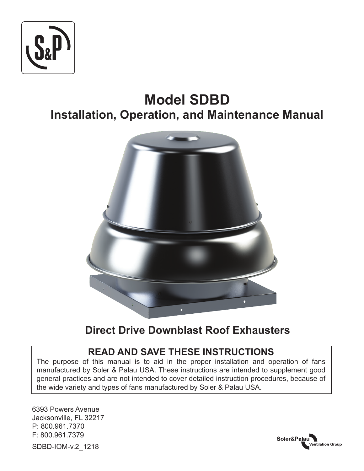

# **Model SDBD Installation, Operation, and Maintenance Manual**



## **Direct Drive Downblast Roof Exhausters**

## **READ AND SAVE THESE INSTRUCTIONS**

The purpose of this manual is to aid in the proper installation and operation of fans manufactured by Soler & Palau USA. These instructions are intended to supplement good general practices and are not intended to cover detailed instruction procedures, because of the wide variety and types of fans manufactured by Soler & Palau USA.

6393 Powers Avenue Jacksonville, FL 32217 P: 800.961.7370 F: 800.961.7379 SDBD-IOM-v.2\_1218

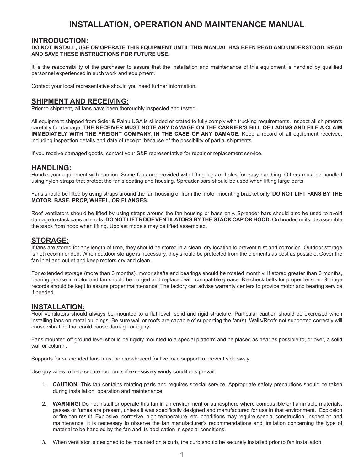## **INSTALLATION, OPERATION AND MAINTENANCE MANUAL**

#### **INTRODUCTION:**

#### **DO NOT INSTALL, USE OR OPERATE THIS EQUIPMENT UNTIL THIS MANUAL HAS BEEN READ AND UNDERSTOOD. READ AND SAVE THESE INSTRUCTIONS FOR FUTURE USE.**

It is the responsibility of the purchaser to assure that the installation and maintenance of this equipment is handled by qualified personnel experienced in such work and equipment.

Contact your local representative should you need further information.

#### **SHIPMENT AND RECEIVING:**

Prior to shipment, all fans have been thoroughly inspected and tested.

All equipment shipped from Soler & Palau USA is skidded or crated to fully comply with trucking requirements. Inspect all shipments carefully for damage. **THE RECEIVER MUST NOTE ANY DAMAGE ON THE CARRIER'S BILL OF LADING AND FILE A CLAIM IMMEDIATELY WITH THE FREIGHT COMPANY, IN THE CASE OF ANY DAMAGE.** Keep a record of all equipment received, including inspection details and date of receipt, because of the possibility of partial shipments.

If you receive damaged goods, contact your S&P representative for repair or replacement service.

#### **HANDLING:**

Handle your equipment with caution. Some fans are provided with lifting lugs or holes for easy handling. Others must be handled using nylon straps that protect the fan's coating and housing. Spreader bars should be used when lifting large parts.

Fans should be lifted by using straps around the fan housing or from the motor mounting bracket only. **DO NOT LIFT FANS BY THE MOTOR, BASE, PROP, WHEEL, OR FLANGES.**

Roof ventilators should be lifted by using straps around the fan housing or base only. Spreader bars should also be used to avoid damage to stack caps or hoods. **DO NOT LIFT ROOF VENTILATORS BY THE STACK CAP OR HOOD.** On hooded units, disassemble the stack from hood when lifting. Upblast models may be lifted assembled.

#### **STORAGE:**

If fans are stored for any length of time, they should be stored in a clean, dry location to prevent rust and corrosion. Outdoor storage is not recommended. When outdoor storage is necessary, they should be protected from the elements as best as possible. Cover the fan inlet and outlet and keep motors dry and clean.

For extended storage (more than 3 months), motor shafts and bearings should be rotated monthly. If stored greater than 6 months, bearing grease in motor and fan should be purged and replaced with compatible grease. Re-check belts for proper tension. Storage records should be kept to assure proper maintenance. The factory can advise warranty centers to provide motor and bearing service if needed.

#### **INSTALLATION:**

Roof ventilators should always be mounted to a flat level, solid and rigid structure. Particular caution should be exercised when installing fans on metal buildings. Be sure wall or roofs are capable of supporting the fan(s). Walls/Roofs not supported correctly will cause vibration that could cause damage or injury.

Fans mounted off ground level should be rigidly mounted to a special platform and be placed as near as possible to, or over, a solid wall or column.

Supports for suspended fans must be crossbraced for live load support to prevent side sway.

Use guy wires to help secure root units if excessively windy conditions prevail.

- 1. **CAUTION!** This fan contains rotating parts and requires special service. Appropriate safety precautions should be taken during installation, operation and maintenance.
- 2. **WARNING!** Do not install or operate this fan in an environment or atmosphere where combustible or flammable materials, gasses or fumes are present, unless it was specifically designed and manufactured for use in that environment. Explosion or fire can result. Explosive, corrosive, high temperature, etc. conditions may require special construction, inspection and maintenance. It is necessary to observe the fan manufacturer's recommendations and limitation concerning the type of material to be handled by the fan and its application in special conditions.
- 3. When ventilator is designed to be mounted on a curb, the curb should be securely installed prior to fan installation.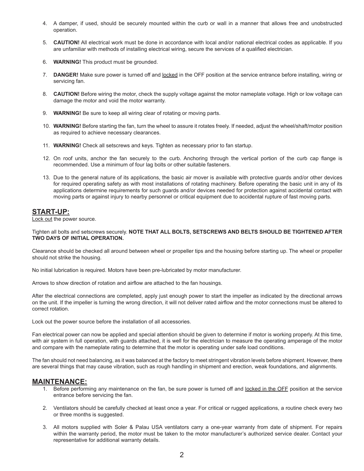- 4. A damper, if used, should be securely mounted within the curb or wall in a manner that allows free and unobstructed operation.
- 5. **CAUTION!** All electrical work must be done in accordance with local and/or national electrical codes as applicable. If you are unfamiliar with methods of installing electrical wiring, secure the services of a qualified electrician.
- 6. **WARNING!** This product must be grounded.
- 7. DANGER! Make sure power is turned off and locked in the OFF position at the service entrance before installing, wiring or servicing fan.
- 8. **CAUTION!** Before wiring the motor, check the supply voltage against the motor nameplate voltage. High or low voltage can damage the motor and void the motor warranty.
- 9. **WARNING!** Be sure to keep all wiring clear of rotating or moving parts.
- 10. **WARNING!** Before starting the fan, turn the wheel to assure it rotates freely. If needed, adjust the wheel/shaft/motor position as required to achieve necessary clearances.
- 11. **WARNING!** Check all setscrews and keys. Tighten as necessary prior to fan startup.
- 12. On roof units, anchor the fan securely to the curb. Anchoring through the vertical portion of the curb cap flange is recommended. Use a minimum of four lag bolts or other suitable fasteners.
- 13. Due to the general nature of its applications, the basic air mover is available with protective guards and/or other devices for required operating safety as with most installations of rotating machinery. Before operating the basic unit in any of its applications determine requirements for such guards and/or devices needed for protection against accidental contact with moving parts or against injury to nearby personnel or critical equipment due to accidental rupture of fast moving parts.

### **START-UP:**

Lock out the power source.

#### Tighten all bolts and setscrews securely. **NOTE THAT ALL BOLTS, SETSCREWS AND BELTS SHOULD BE TIGHTENED AFTER TWO DAYS OF INITIAL OPERATION.**

Clearance should be checked all around between wheel or propeller tips and the housing before starting up. The wheel or propeller should not strike the housing.

No initial lubrication is required. Motors have been pre-lubricated by motor manufacturer.

Arrows to show direction of rotation and airflow are attached to the fan housings.

After the electrical connections are completed, apply just enough power to start the impeller as indicated by the directional arrows on the unit. If the impeller is turning the wrong direction, it will not deliver rated airflow and the motor connections must be altered to correct rotation.

Lock out the power source before the installation of all accessories.

Fan electrical power can now be applied and special attention should be given to determine if motor is working properly. At this time, with air system in full operation, with guards attached, it is well for the electrician to measure the operating amperage of the motor and compare with the nameplate rating to determine that the motor is operating under safe load conditions.

The fan should not need balancing, as it was balanced at the factory to meet stringent vibration levels before shipment. However, there are several things that may cause vibration, such as rough handling in shipment and erection, weak foundations, and alignments.

#### **MAINTENANCE:**

- 1. Before performing any maintenance on the fan, be sure power is turned off and locked in the OFF position at the service entrance before servicing the fan.
- 2. Ventilators should be carefully checked at least once a year. For critical or rugged applications, a routine check every two or three months is suggested.
- 3. All motors supplied with Soler & Palau USA ventilators carry a one-year warranty from date of shipment. For repairs within the warranty period, the motor must be taken to the motor manufacturer's authorized service dealer. Contact your representative for additional warranty details.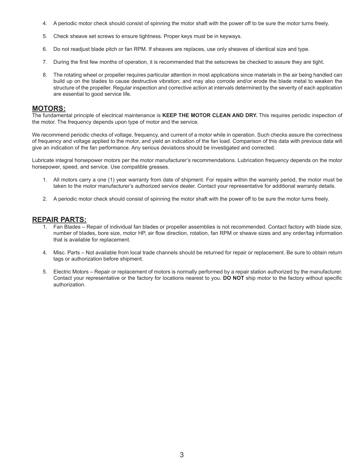- 4. A periodic motor check should consist of spinning the motor shaft with the power off to be sure the motor turns freely.
- 5. Check sheave set screws to ensure tightness. Proper keys must be in keyways.
- 6. Do not readjust blade pitch or fan RPM. If sheaves are replaces, use only sheaves of identical size and type.
- 7. During the first few months of operation, it is recommended that the setscrews be checked to assure they are tight.
- 8. The rotating wheel or propeller requires particular attention in most applications since materials in the air being handled can build up on the blades to cause destructive vibration; and may also corrode and/or erode the blade metal to weaken the structure of the propeller. Regular inspection and corrective action at intervals determined by the severity of each application are essential to good service life.

#### **MOTORS:**

The fundamental principle of electrical maintenance is **KEEP THE MOTOR CLEAN AND DRY.** This requires periodic inspection of the motor. The frequency depends upon type of motor and the service.

We recommend periodic checks of voltage, frequency, and current of a motor while in operation. Such checks assure the correctness of frequency and voltage applied to the motor, and yield an indication of the fan load. Comparison of this data with previous data will give an indication of the fan performance. Any serious deviations should be investigated and corrected.

Lubricate integral horsepower motors per the motor manufacturer's recommendations. Lubrication frequency depends on the motor horsepower, speed, and service. Use compatible greases.

- 1. All motors carry a one (1) year warranty from date of shipment. For repairs within the warranty period, the motor must be taken to the motor manufacturer's authorized service dealer. Contact your representative for additional warranty details.
- 2. A periodic motor check should consist of spinning the motor shaft with the power off to be sure the motor turns freely.

#### **REPAIR PARTS:**

- 1. Fan Blades Repair of individual fan blades or propeller assemblies is not recommended. Contact factory with blade size, number of blades, bore size, motor HP, air flow direction, rotation, fan RPM or sheave sizes and any order/tag information that is available for replacement.
- 4. Misc. Parts Not available from local trade channels should be returned for repair or replacement. Be sure to obtain return tags or authorization before shipment.
- 5. Electric Motors Repair or replacement of motors is normally performed by a repair station authorized by the manufacturer. Contact your representative or the factory for locations nearest to you. **DO NOT** ship motor to the factory without specific authorization.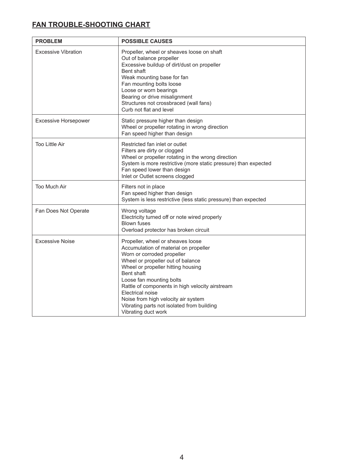## **FAN TROUBLE-SHOOTING CHART**

| <b>PROBLEM</b>              | <b>POSSIBLE CAUSES</b>                                                                                                                                                                                                                                                                                                                                                                                           |
|-----------------------------|------------------------------------------------------------------------------------------------------------------------------------------------------------------------------------------------------------------------------------------------------------------------------------------------------------------------------------------------------------------------------------------------------------------|
| <b>Excessive Vibration</b>  | Propeller, wheel or sheaves loose on shaft<br>Out of balance propeller<br>Excessive buildup of dirt/dust on propeller<br>Bent shaft<br>Weak mounting base for fan<br>Fan mounting bolts loose<br>Loose or worn bearings<br>Bearing or drive misalignment<br>Structures not crossbraced (wall fans)<br>Curb not flat and level                                                                                    |
| <b>Excessive Horsepower</b> | Static pressure higher than design<br>Wheel or propeller rotating in wrong direction<br>Fan speed higher than design                                                                                                                                                                                                                                                                                             |
| <b>Too Little Air</b>       | Restricted fan inlet or outlet<br>Filters are dirty or clogged<br>Wheel or propeller rotating in the wrong direction<br>System is more restrictive (more static pressure) than expected<br>Fan speed lower than design<br>Inlet or Outlet screens clogged                                                                                                                                                        |
| Too Much Air                | Filters not in place<br>Fan speed higher than design<br>System is less restrictive (less static pressure) than expected                                                                                                                                                                                                                                                                                          |
| Fan Does Not Operate        | Wrong voltage<br>Electricity turned off or note wired properly<br><b>Blown fuses</b><br>Overload protector has broken circuit                                                                                                                                                                                                                                                                                    |
| <b>Excessive Noise</b>      | Propeller, wheel or sheaves loose<br>Accumulation of material on propeller<br>Worn or corroded propeller<br>Wheel or propeller out of balance<br>Wheel or propeller hitting housing<br>Bent shaft<br>Loose fan mounting bolts<br>Rattle of components in high velocity airstream<br>Electrical noise<br>Noise from high velocity air system<br>Vibrating parts not isolated from building<br>Vibrating duct work |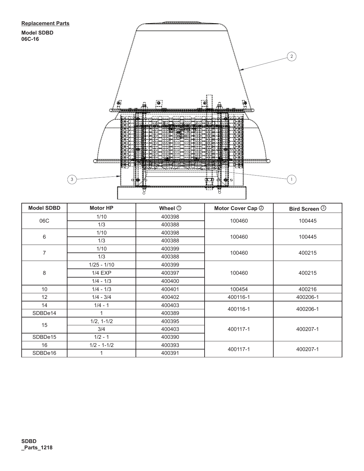**06C-16**



| <b>Model SDBD</b> | <b>Motor HP</b> | Wheel $\odot$ | Motor Cover Cap 2 | <b>Bird Screen <b><sup>3</sup></b></b> |
|-------------------|-----------------|---------------|-------------------|----------------------------------------|
| 06C               | 1/10            | 400398        | 100460            | 100445                                 |
|                   | 1/3             | 400388        |                   |                                        |
| 6                 | 1/10            | 400398        | 100460            | 100445                                 |
|                   | 1/3             | 400388        |                   |                                        |
| 7                 | 1/10            | 400399        | 100460            | 400215                                 |
|                   | 1/3             | 400388        |                   |                                        |
| 8                 | $1/25 - 1/10$   | 400399        | 100460            | 400215                                 |
|                   | $1/4$ EXP       | 400397        |                   |                                        |
|                   | $1/4 - 1/3$     | 400400        |                   |                                        |
| 10 <sup>1</sup>   | $1/4 - 1/3$     | 400401        | 100454            | 400216                                 |
| 12                | $1/4 - 3/4$     | 400402        | 400116-1          | 400206-1                               |
| 14                | $1/4 - 1$       | 400403        | 400116-1          | 400206-1                               |
| SDBDe14           |                 | 400389        |                   |                                        |
| 15                | $1/2, 1-1/2$    | 400395        | 400117-1          | 400207-1                               |
|                   | 3/4             | 400403        |                   |                                        |
| SDBDe15           | $1/2 - 1$       | 400390        |                   |                                        |
| 16                | $1/2 - 1 - 1/2$ | 400393        | 400117-1          | 400207-1                               |
| SDBDe16           |                 | 400391        |                   |                                        |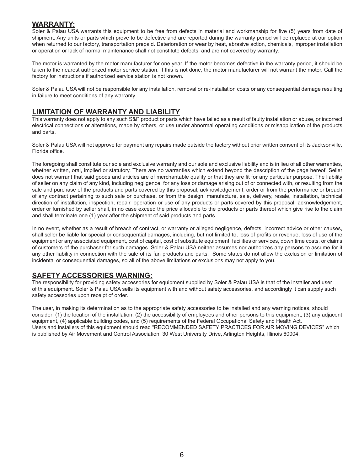### **WARRANTY:**

Soler & Palau USA warrants this equipment to be free from defects in material and workmanship for five (5) years from date of shipment. Any units or parts which prove to be defective and are reported during the warranty period will be replaced at our option when returned to our factory, transportation prepaid. Deterioration or wear by heat, abrasive action, chemicals, improper installation or operation or lack of normal maintenance shall not constitute defects, and are not covered by warranty.

The motor is warranted by the motor manufacturer for one year. If the motor becomes defective in the warranty period, it should be taken to the nearest authorized motor service station. If this is not done, the motor manufacturer will not warrant the motor. Call the factory for instructions if authorized service station is not known.

Soler & Palau USA will not be responsible for any installation, removal or re-installation costs or any consequential damage resulting in failure to meet conditions of any warranty.

### **LIMITATION OF WARRANTY AND LIABILITY**

This warranty does not apply to any such S&P product or parts which have failed as a result of faulty installation or abuse, or incorrect electrical connections or alterations, made by others, or use under abnormal operating conditions or misapplication of the products and parts.

Soler & Palau USA will not approve for payment any repairs made outside the factory without prior written consent of its Jacksonville, Florida office.

The foregoing shall constitute our sole and exclusive warranty and our sole and exclusive liability and is in lieu of all other warranties, whether written, oral, implied or statutory. There are no warranties which extend beyond the description of the page hereof. Seller does not warrant that said goods and articles are of merchantable quality or that they are fit for any particular purpose. The liability of seller on any claim of any kind, including negligence, for any loss or damage arising out of or connected with, or resulting from the sale and purchase of the products and parts covered by this proposal, acknowledgement, order or from the performance or breach of any contract pertaining to such sale or purchase, or from the design, manufacture, sale, delivery, resale, installation, technical direction of installation, inspection, repair, operation or use of any products or parts covered by this proposal, acknowledgement, order or furnished by seller shall, in no case exceed the price allocable to the products or parts thereof which give rise to the claim and shall terminate one (1) year after the shipment of said products and parts.

In no event, whether as a result of breach of contract, or warranty or alleged negligence, defects, incorrect advice or other causes, shall seller be liable for special or consequential damages, including, but not limited to, loss of profits or revenue, loss of use of the equipment or any associated equipment, cost of capital, cost of substitute equipment, facilities or services, down time costs, or claims of customers of the purchaser for such damages. Soler & Palau USA neither assumes nor authorizes any persons to assume for it any other liability in connection with the sale of its fan products and parts. Some states do not allow the exclusion or limitation of incidental or consequential damages, so all of the above limitations or exclusions may not apply to you.

### **SAFETY ACCESSORIES WARNING:**

The responsibility for providing safety accessories for equipment supplied by Soler & Palau USA is that of the installer and user of this equipment. Soler & Palau USA sells its equipment with and without safety accessories, and accordingly it can supply such safety accessories upon receipt of order.

The user, in making its determination as to the appropriate safety accessories to be installed and any warning notices, should consider (1) the location of the installation, (2) the accessibility of employees and other persons to this equipment, (3) any adjacent equipment, (4) applicable building codes, and (5) requirements of the Federal Occupational Safety and Health Act. Users and installers of this equipment should read "RECOMMENDED SAFETY PRACTICES FOR AIR MOVING DEVICES" which is published by Air Movement and Control Association, 30 West University Drive, Arlington Heights, Illinois 60004.